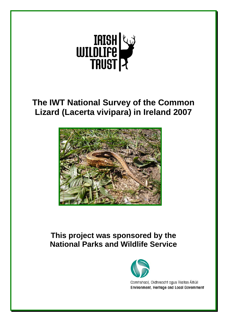

# **The IWT National Survey of the Common Lizard (Lacerta vivipara) in Ireland 2007**



# **This project was sponsored by the National Parks and Wildlife Service**



Comhshaol, Oidhreacht agus Rialtas Áitiúil **Environment, Heritage and Local Government**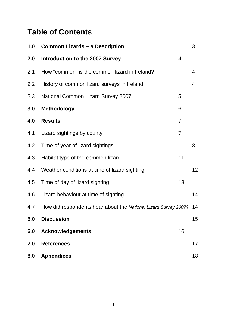# **Table of Contents**

| 1.0 | <b>Common Lizards - a Description</b>                           |                | 3  |
|-----|-----------------------------------------------------------------|----------------|----|
| 2.0 | Introduction to the 2007 Survey                                 | $\overline{4}$ |    |
| 2.1 | How "common" is the common lizard in Ireland?                   |                | 4  |
| 2.2 | History of common lizard surveys in Ireland                     |                | 4  |
| 2.3 | <b>National Common Lizard Survey 2007</b>                       | 5              |    |
| 3.0 | <b>Methodology</b>                                              | 6              |    |
| 4.0 | <b>Results</b>                                                  | $\overline{7}$ |    |
| 4.1 | Lizard sightings by county                                      | $\overline{7}$ |    |
| 4.2 | Time of year of lizard sightings                                |                | 8  |
| 4.3 | Habitat type of the common lizard                               | 11             |    |
| 4.4 | Weather conditions at time of lizard sighting                   |                | 12 |
| 4.5 | Time of day of lizard sighting                                  | 13             |    |
| 4.6 | Lizard behaviour at time of sighting                            |                | 14 |
| 4.7 | How did respondents hear about the National Lizard Survey 2007? |                | 14 |
| 5.0 | <b>Discussion</b>                                               |                | 15 |
| 6.0 | <b>Acknowledgements</b>                                         | 16             |    |
| 7.0 | <b>References</b>                                               |                | 17 |
| 8.0 | <b>Appendices</b>                                               |                | 18 |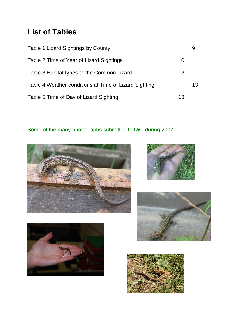# **List of Tables**

| Table 1 Lizard Sightings by County                    |    | 9  |
|-------------------------------------------------------|----|----|
| Table 2 Time of Year of Lizard Sightings              | 10 |    |
| Table 3 Habitat types of the Common Lizard            | 12 |    |
| Table 4 Weather conditions at Time of Lizard Sighting |    | 13 |
| Table 5 Time of Day of Lizard Sighting                | 13 |    |

# Some of the many photographs submitted to IWT during 2007









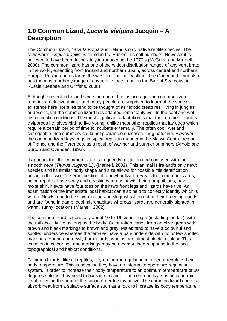## **1.0 Common Lizard,** *Lacerta vivipara* **Jacquin – A Description**

The Common Lizard, *Lacerta vivipara* is Ireland's only native reptile species. The slow-worm, *Anguis fragilis*, is found in the Burren in small numbers. However it is believed to have been deliberately introduced in the 1970's (McGuire and Marnell, 2000). The common lizard has one of the widest distribution ranges of any vertebrate in the world, extending from Ireland and northern Spain, across central and northern Europe, Russia and as far as the western Pacific coastline. The Common Lizard also has the most northerly range of any reptile, occurring on the Barent Sea coast in Russia (Beebee and Griffiths, 2000).

Although present in Ireland since the end of the last ice age, the common lizard remains an elusive animal and many people are surprised to learn of the species' existence here. Reptiles tend to be thought of as "exotic creatures" living in jungles or deserts, yet the common lizard has adapted remarkably well to the cool and wet Irish climatic conditions. The most significant adaptation is that the common lizard is viviparous i.e. gives birth to live young, unlike most other reptiles that lay eggs which require a certain period of time to incubate externally. The often cool, wet and changeable Irish summers could not guarantee successful egg hatching. However, the common lizard lays eggs in typical reptilian manner in the Massif Central region of France and the Pyrenees, as a result of warmer and sunnier summers (Arnold and Burton and Ovenden, 1992).

It appears that the common lizard is frequently mistaken and confused with the smooth newt (*Titurus vulgaris L*.), (Marnell, 2002). This animal is Ireland's only newt species and its similar body shape and size allows for possible misidentification between the two. Closer inspection of a newt or lizard reveals that common lizards, being reptiles, have scaly and dry skin whereas newts, being amphibians, have moist skin. Newts have four toes on their two front legs and lizards have five. An examination of the immediate local habitat can also help to correctly identify which is which. Newts tend to be slow-moving and sluggish when not in their breeding ponds and are found in damp, cool microhabitats whereas lizards are generally sighted in warm, sunny locations (Marnell, 2002).

The common lizard is generally about 10 to 16 cm in length (including the tail), with the tail about twice as long as the body. Colouration varies from an olive green with brown and black markings to brown and grey. Males tend to have a colourful and spotted underside whereas the females have a pale underside with no or few spotted markings. Young and newly born lizards, whelps, are almost black in colour. This variation in colourings and markings may be a camouflage response to the local topographical and habitat conditions.

Common lizards, like all reptiles, rely on thermoregulation in order to regulate their body temperature. This is because they have no internal temperature regulation system. In order to increase their body temperature to an optimum temperature of 30 degrees celsius, they need to bask in sunshine. The common lizard is heliothermic i.e. it relies on the heat of the sun in order to stay active. The common lizard can also absorb heat from a suitable surface such as a rock to increase its body temperature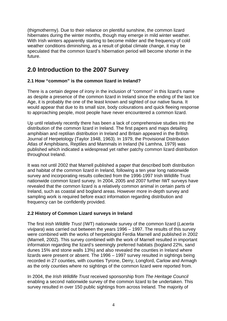(thigmothermy). Due to their reliance on plentiful sunshine, the common lizard hibernates during the winter months, though may emerge in mild winter weather. With Irish winters apparently starting to become milder and the frequency of cold weather conditions diminishing, as a result of global climate change, it may be speculated that the common lizard's hibernation period will become shorter in the future.

## **2.0 Introduction to the 2007 Survey**

#### **2.1 How "common" is the common lizard in Ireland?**

There is a certain degree of irony in the inclusion of "common" in this lizard's name as despite a presence of the common lizard in Ireland since the ending of the last Ice Age, it is probably the one of the least known and sighted of our native fauna. It would appear that due to its small size, body colourations and quick fleeing response to approaching people, most people have never encountered a common lizard.

Up until relatively recently there has been a lack of comprehensive studies into the distribution of the common lizard in Ireland. The first papers and maps detailing amphibian and reptilian distribution in Ireland and Britain appeared in the British Journal of Herpetology (Taylor 1948, 1963). In 1979, the Provisional Distribution Atlas of Amphibians, Reptiles and Mammals in Ireland (Ni Lamhna, 1979) was published which indicated a widespread yet rather patchy common lizard distribution throughout Ireland.

It was not until 2002 that Marnell published a paper that described both distribution and habitat of the common lizard in Ireland, following a ten year long nationwide survey and incorporating results collected from the 1996-1997 Irish Wildlife Trust nationwide common lizard survey. In 2004, 2005 and 2007 further IWT surveys have revealed that the common lizard is a relatively common animal in certain parts of Ireland, such as coastal and bogland areas. However more in-depth survey and sampling work is required before exact information regarding distribution and frequency can be confidently provided.

#### **2.2 History of Common Lizard surveys in Ireland**

The first *Irish Wildlife Trust* (IWT) nationwide survey of the common lizard (*Lacerta vivipara*) was carried out between the years 1996 – 1997. The results of this survey were combined with the works of herpetologist Ferdia Marnell and published in 2002 (Marnell, 2002). This survey combined with the work of Marnell resulted in important information regarding the lizard's seemingly preferred habitats (bogland 22%, sand dunes 15% and stone walls 13%) and also revealed the counties in Ireland where lizards were present or absent. The 1996 – 1997 survey resulted in sightings being recorded in 27 counties, with counties Tyrone, Derry, Longford, Carlow and Armagh as the only counties where no sightings of the common lizard were reported from.

In 2004, the *Irish Wildlife Trust* received sponsorship from *The Heritage Council*  enabling a second nationwide survey of the common lizard to be undertaken. This survey resulted in over 150 public sightings from across Ireland. The majority of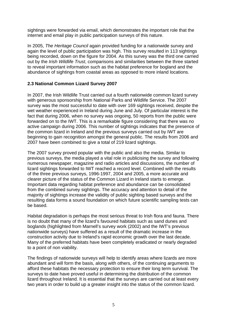sightings were forwarded via email, which demonstrates the important role that the internet and email play in public participation surveys of this nature.

In 2005, *The Heritage Council* again provided funding for a nationwide survey and again the level of public participation was high. This survey resulted in 113 sightings being recorded, down on the figure for 2004. As this survey was the third one carried out by the *Irish Wildlife Trust*, comparisons and similarities between the three started to reveal important information such as the habitat preference for bogland and the abundance of sightings from coastal areas as opposed to more inland locations.

#### **2.3 National Common Lizard Survey 2007**

In 2007, the Irish Wildlife Trust carried out a fourth nationwide common lizard survey with generous sponsorship from National Parks and Wildlife Service. The 2007 survey was the most successful to date with over 169 sightings received, despite the wet weather experienced in Ireland during June and July. Of particular interest is the fact that during 2006, when no survey was ongoing, 50 reports from the public were forwarded on to the IWT. This is a remarkable figure considering that there was no active campaign during 2006. This number of sightings indicates that the presence of the common lizard in Ireland and the previous surveys carried out by IWT are beginning to gain recognition amongst the general public. The results from 2006 and 2007 have been combined to give a total of 219 lizard sightings.

The 2007 survey proved popular with the public and also the media. Similar to previous surveys, the media played a vital role in publicising the survey and following numerous newspaper, magazine and radio articles and discussions, the number of lizard sightings forwarded to IWT reached a record level. Combined with the results of the three previous surveys, 1996-1997, 2004 and 2005, a more accurate and clearer picture of the status of the Common Lizard in Ireland starts to emerge. Important data regarding habitat preference and abundance can be consolidated from the combined survey sightings. The accuracy and attention to detail of the majority of sightings increase the validity of public sighting based surveys and the resulting data forms a sound foundation on which future scientific sampling tests can be based.

Habitat degradation is perhaps the most serious threat to Irish flora and fauna. There is no doubt that many of the lizard's favoured habitats such as sand dunes and boglands (highlighted from Marnell's survey work (2002) and the IWT's previous nationwide surveys) have suffered as a result of the dramatic increase in the construction activity due to Ireland's rapid economic growth over the last decade. Many of the preferred habitats have been completely eradicated or nearly degraded to a point of non viability.

The findings of nationwide surveys will help to identify areas where lizards are more abundant and will form the basis, along with others, of the continuing arguments to afford these habitats the necessary protection to ensure their long term survival. The surveys to date have proved useful in determining the distribution of the common lizard throughout Ireland. It is essential that the surveys are carried out at least every two years in order to build up a greater insight into the status of the common lizard.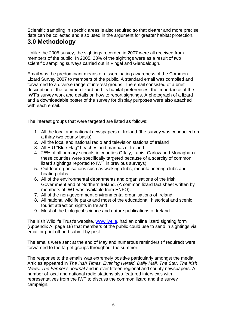Scientific sampling in specific areas is also required so that clearer and more precise data can be collected and also used in the argument for greater habitat protection.

# **3.0 Methodology**

Unlike the 2005 survey, the sightings recorded in 2007 were all received from members of the public. In 2005, 23% of the sightings were as a result of two scientific sampling surveys carried out in Fingal and Glendalough.

Email was the predominant means of disseminating awareness of the Common Lizard Survey 2007 to members of the public. A standard email was compiled and forwarded to a diverse range of interest groups. The email consisted of a brief description of the common lizard and its habitat preferences, the importance of the IWT's survey work and details on how to report sightings. A photograph of a lizard and a downloadable poster of the survey for display purposes were also attached with each email.

The interest groups that were targeted are listed as follows:

- 1. All the local and national newspapers of Ireland (the survey was conducted on a thirty two county basis)
- 2. All the local and national radio and television stations of Ireland
- 3. All E.U "Blue Flag" beaches and marinas of Ireland
- 4. 25% of all primary schools in counties Offaly, Laois, Carlow and Monaghan ( these counties were specifically targeted because of a scarcity of common lizard sightings reported to IWT in previous surveys)
- 5. Outdoor organisations such as walking clubs, mountaineering clubs and boating clubs
- 6. All of the environmental departments and organisations of the Irish Government and of Northern Ireland. (A common lizard fact sheet written by members of IWT was available from ENFO).
- 7. All of the non-government environmental organisations of Ireland
- 8. All national wildlife parks and most of the educational, historical and scenic tourist attraction sights in Ireland
- 9. Most of the biological science and nature publications of Ireland

The Irish Wildlife Trust's website, [www.iwt.ie](http://www.iwt.ie/), had an online lizard sighting form (Appendix A, page 18) that members of the public could use to send in sightings via email or print off and submit by post.

The emails were sent at the end of May and numerous reminders (if required) were forwarded to the target groups throughout the summer.

The response to the emails was extremely positive particularly amongst the media. Articles appeared in *The Irish Times, Evening Herald, Daily Mail, The Star, The Irish News, The Farmer's Journal* and in over fifteen regional and county newspapers. A number of local and national radio stations also featured interviews with representatives from the IWT to discuss the common lizard and the survey campaign.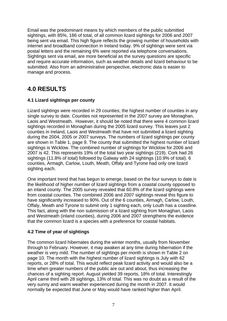Email was the predominant means by which members of the public submitted sightings, with 85%, 186 of total, of all common lizard sightings for 2006 and 2007 being sent via email. This high figure reflects the growing number of households with internet and broadband connection in Ireland today. 9% of sightings were sent via postal letters and the remaining 6% were reported via telephone conversations. Sightings sent via email, are more beneficial as the survey questions are specific and require accurate information, such as weather details and lizard behaviour to be submitted. Also from an administrative perspective, electronic data is easier to manage and process.

# **4.0 RESULTS**

#### **4.1 Lizard sightings per county**

Lizard sightings were recorded in 29 counties; the highest number of counties in any single survey to date. Counties not represented in the 2007 survey are Monaghan, Laois and Westmeath. However, it should be noted that there were 4 common lizard sightings recorded in Monaghan during the 2005 lizard survey. This leaves just 2 counties in Ireland, Laois and Westmeath that have not submitted a lizard sighting during the 2004, 2005 or 2007 surveys. The numbers of lizard sightings per county are shown in Table 1, page 9. The county that submitted the highest number of lizard sightings is Wicklow. The combined number of sightings for Wicklow for 2006 and 2007 is 42. This represents 19% of the total two year sightings (219). Cork had 26 sightings (11.8% of total) followed by Galway with 24 sightings (10.9% of total). 6 counties, Armagh, Carlow, Louth, Meath, Offaly and Tyrone had only one lizard sighting each.

One important trend that has begun to emerge, based on the four surveys to date is the likelihood of higher number of lizard sightings from a coastal county opposed to an inland county. The 2005 survey revealed that 60.8% of the lizard sightings were from coastal counties. The combined 2006 and 2007 sightings reveal this figure to have significantly increased to 90%. Out of the 6 counties, Armagh, Carlow, Louth, Offaly, Meath and Tyrone to submit only 1 sighting each, only Louth has a coastline. This fact, along with the non submission of a lizard sighting from Monaghan, Laois and Westmeath (inland counties), during 2006 and 2007 strengthens the evidence that the common lizard is a species with a preference for coastal habitats.

#### **4.2 Time of year of sightings**

The common lizard hibernates during the winter months, usually from November through to February. However, it may awaken at any time during hibernation if the weather is very mild. The number of sightings per month is shown in Table 2 on page 10. The month with the highest number of lizard sightings is July with 62 reports, or 28% of total. This would reflect peak lizard activity and would also be a time when greater numbers of the public are out and about, thus increasing the chances of a sighting report. August yielded 39 reports, 18% of total. Interestingly April came third with 28 sightings, 13% of total. This was no doubt as a result of the very sunny and warm weather experienced during the month in 2007. It would normally be expected that June or May would have ranked higher than April.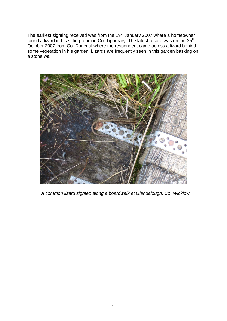The earliest sighting received was from the  $19<sup>th</sup>$  January 2007 where a homeowner found a lizard in his sitting room in Co. Tipperary. The latest record was on the  $25<sup>th</sup>$ October 2007 from Co. Donegal where the respondent came across a lizard behind some vegetation in his garden. Lizards are frequently seen in this garden basking on a stone wall.



 *A common lizard sighted along a boardwalk at Glendalough, Co. Wicklow*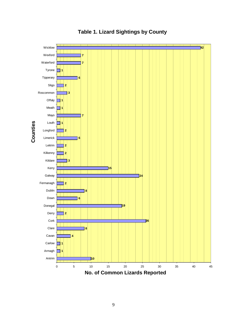

## **Table 1. Lizard Sightings by County**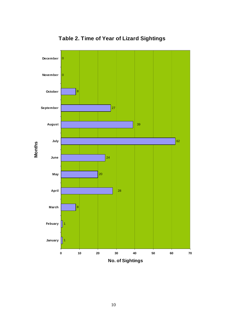

**Table 2. Time of Year of Lizard Sightings**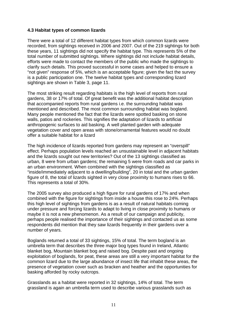#### **4.3 Habitat types of common lizards**

There were a total of 12 different habitat types from which common lizards were recorded, from sightings received in 2006 and 2007. Out of the 219 sightings for both these years, 11 sightings did not specify the habitat type. This represents 5% of the total number of submitted sightings. Where sightings did not include habitat details, efforts were made to contact the members of the public who made the sightings to clarify such details. This proved successful in some cases and helped to ensure a "not given" response of 5%, which is an acceptable figure; given the fact the survey is a public participation one. The twelve habitat types and corresponding lizard sightings are shown in Table 3, page 11.

The most striking result regarding habitats is the high level of reports from rural gardens, 38 or 17% of total. Of great benefit was the additional habitat description that accompanied reports from rural gardens i.e. the surrounding habitat was mentioned and described. The most common surrounding habitat was bogland. Many people mentioned the fact that the lizards were spotted basking on stone walls, patios and rockeries. This signifies the adaptation of lizards to artificial anthropogenic surfaces to aid basking. A well planted garden with adequate vegetation cover and open areas with stone/ornamental features would no doubt offer a suitable habitat for a lizard

The high incidence of lizards reported from gardens may represent an "overspill" effect. Perhaps population levels reached an unsustainable level in adjacent habitats and the lizards sought out new territories? Out of the 13 sightings classified as urban, 8 were from urban gardens; the remaining 5 were from roads and car parks in an urban environment. When combined with the sightings classified as "inside/immediately adjacent to a dwelling/building", 20 in total and the urban garden figure of 8, the total of lizards sighted in very close proximity to humans rises to 66. This represents a total of 30%.

The 2005 survey also produced a high figure for rural gardens of 17% and when combined with the figure for sightings from inside a house this rose to 24%. Perhaps this high level of sightings from gardens is as a result of natural habitats coming under pressure and forcing lizards to adapt to living in close proximity to humans or maybe it is not a new phenomenon. As a result of our campaign and publicity, perhaps people realised the importance of their sightings and contacted us as some respondents did mention that they saw lizards frequently in their gardens over a number of years.

Boglands returned a total of 33 sightings, 15% of total. The term bogland is an umbrella term that describes the three major bog types found in Ireland, Atlantic blanket bog, Mountain blanket bog and raised bog. Despite past and ongoing exploitation of boglands, for peat, these areas are still a very important habitat for the common lizard due to the large abundance of insect life that inhabit these areas, the presence of vegetation cover such as bracken and heather and the opportunities for basking afforded by rocky outcrops.

Grasslands as a habitat were reported in 32 sightings, 14% of total. The term grassland is again an umbrella term used to describe various grasslands such as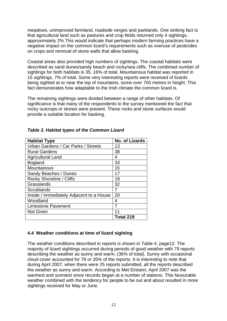meadows, unimproved farmland, roadside verges and parklands. One striking fact is that agricultural land such as pastures and crop fields returned only 4 sightings, approximately 2%.This would indicate that perhaps modern farming practices have a negative impact on the common lizard's requirements such as overuse of pesticides on crops and removal of stone walls that allow basking.

Coastal areas also provided high numbers of sightings. The coastal habitats were described as sand dunes/sandy beach and rocky/sea cliffs. The combined number of sightings for both habitats is 35, 16% of total. Mountainous habitat was reported in 15 sightings, 7% of total. Some very interesting reports were received of lizards being sighted at or near the top of mountains, some over 700 metres in height. This fact demonstrates how adaptable to the Irish climate the common lizard is.

The remaining sightings were divided between a range of other habitats. Of significance is that many of the respondents to the survey mentioned the fact that rocky outcrops or stones were present. These rocks and stone surfaces would provide a suitable location for basking.

| <b>Habitat Type</b>                      | <b>No. of Lizards</b> |
|------------------------------------------|-----------------------|
| Urban Gardens / Car Parks / Streets      | 13                    |
| <b>Rural Gardens</b>                     | 38                    |
| <b>Agricultural Land</b>                 | 4                     |
| <b>Bogland</b>                           | 33                    |
| Mountainous                              | 15                    |
| Sandy Beaches / Dunes                    | 17                    |
| Rocky Shoreline / Cliffs                 | 18                    |
| Grasslands                               | 32                    |
| Scrublands                               | 7                     |
| Inside / Immediately Adjacent to a House | 20                    |
| Woodland                                 | 4                     |
| <b>Limestone Pavement</b>                | 7                     |
| <b>Not Given</b>                         |                       |
|                                          | Total 219             |

#### *Table 3. Habitat types of the Common Lizard*

#### **4.4 Weather conditions at time of lizard sighting**

The weather conditions described in reports is shown in Table 4, page12. The majority of lizard sightings occurred during periods of good weather with 79 reports describing the weather as sunny and warm, (36% of total). Sunny with occasional cloud cover accounted for 76 or 35% of the reports. It is interesting to note that during April 2007, when there were 25 reports submitted, all the reports described the weather as sunny and warm. According to Met Eireann, April 2007 was the warmest and sunniest since records began at a number of stations. This favourable weather combined with the tendency for people to be out and about resulted in more sightings received for May or June.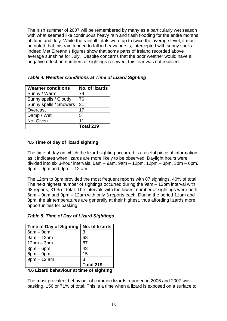The Irish summer of 2007 will be remembered by many as a particularly wet season with what seemed like continuous heavy rain and flash flooding for the entire months of June and July. While the rainfall totals were up to twice the average level, it must be noted that this rain tended to fall in heavy bursts, intercepted with sunny spells. Indeed Met Eireann's figures show that some parts of Ireland recorded above average sunshine for July. Despite concerns that the poor weather would have a negative effect on numbers of sightings received, this fear was not realised.

| <b>Weather conditions</b> | No. of lizards |
|---------------------------|----------------|
| Sunny / Warm              | 79             |
| Sunny spells / Cloudy     | 76             |
| Sunny spells / Showers    | 31             |
| Overcast                  | 17             |
| Damp / Wet                | 5              |
| <b>Not Given</b>          | 11             |
|                           | Total 219      |

*Table 4. Weather Conditions at Time of Lizard Sighting* 

#### **4.5 Time of day of lizard sighting**

The time of day on which the lizard sighting occurred is a useful piece of information as it indicates when lizards are more likely to be observed. Daylight hours were divided into six 3-hour intervals, 6am – 9am, 9am – 12pm, 12pm – 3pm, 3pm – 6pm,  $6pm - 9pm$  and  $9pm - 12$  am.

The 12pm to 3pm provided the most frequent reports with 87 sightings, 40% of total. The next highest number of sightings occurred during the 9am – 12pm interval with 68 reports, 31% of total. The intervals with the lowest number of sightings were both 6am – 9am and 9pm – 12am with only 3 reports each. During the period 11am and 3pm, the air temperatures are generally at their highest, thus affording lizards more opportunities for basking.

| <b>Time of Day of Sighting</b> | No. of lizards |
|--------------------------------|----------------|
| $6am - 9am$                    | 3              |
| $9am - 12pm$                   | 68             |
| $12pm - 3pm$                   | 87             |
| $3pm-6pm$                      | 43             |
| $6$ pm $-9$ pm                 | 15             |
| $9pm - 12$ am                  | 3              |
|                                | Total 219      |
| .<br>.                         | .              |

#### *Table 5. Time of Day of Lizard Sightings*

#### **4.6 Lizard behaviour at time of sighting**

The most prevalent behaviour of common lizards reported in 2006 and 2007 was basking, 156 or 71% of total. This is a time when a lizard is exposed on a surface to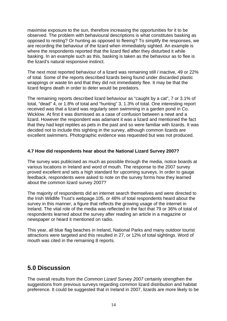maximise exposure to the sun, therefore increasing the opportunities for it to be observed. The problem with behavioural descriptions is what constitutes basking as opposed to resting? Or hunting as opposed to fleeing? To simplify the responses, we are recording the behaviour of the lizard when immediately sighted. An example is where the respondents reported that the lizard fled after they disturbed it while basking. In an example such as this, basking is taken as the behaviour as to flee is the lizard's natural responsive instinct.

The next most reported behaviour of a lizard was remaining still / inactive, 49 or 22% of total. Some of the reports described lizards being found under discarded plastic wrappings or waste tin and that they did not immediately flee. It may be that the lizard feigns death in order to deter would be predators.

The remaining reports described lizard behaviour as "caught by a cat", 7 or 3.1% of total, "dead" 4, or 1.8% of total and "hunting" 3, 1.3% of total. One interesting report received was that a lizard was regularly seen swimming in a garden pond in Co. Wicklow. At first it was dismissed as a case of confusion between a newt and a lizard. However the respondent was adamant it was a lizard and mentioned the fact that they had kept reptiles as pets in the past and so were familiar with lizards. It was decided not to include this sighting in the survey, although common lizards are excellent swimmers. Photographic evidence was requested but was not produced.

#### **4.7 How did respondents hear about the National Lizard Survey 2007?**

The survey was publicised as much as possible through the media, notice boards at various locations in Ireland and word of mouth. The response to the 2007 survey proved excellent and sets a high standard for upcoming surveys. In order to gauge feedback, respondents were asked to note on the survey forms how they learned about the common lizard survey 2007?

The majority of respondents did an internet search themselves and were directed to the Irish Wildlife Trust's webpage.105, or 48% of total respondents heard about the survey in this manner, a figure that reflects the growing usage of the internet in Ireland. The vital role of the media was reflected in the fact that 79 or 36% of total of respondents learned about the survey after reading an article in a magazine or newspaper or heard it mentioned on radio.

This year, all blue flag beaches in Ireland, National Parks and many outdoor tourist attractions were targeted and this resulted in 27, or 12% of total sightings. Word of mouth was cited in the remaining 8 reports.

## **5.0 Discussion**

The overall results from the *Common Lizard Survey 2007* certainly strengthen the suggestions from previous surveys regarding common lizard distribution and habitat preference. It could be suggested that in Ireland in 2007, lizards are more likely to be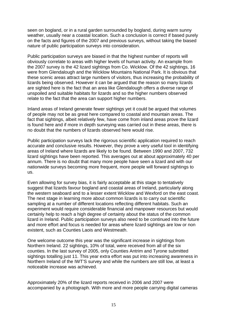seen on bogland, or in a rural garden surrounded by bogland, during warm sunny weather, usually near a coastal location. Such a conclusion is correct if based purely on the facts and figures of the 2007 and previous surveys, without taking the biased nature of public participation surveys into consideration.

Public participation surveys are biased in that the highest number of reports will obviously correlate to areas with higher levels of human activity. An example from the 2007 survey is the 42 lizard sightings from Co. Wicklow. Of the 42 sightings, 16 were from Glendalough and the Wicklow Mountains National Park. It is obvious that these scenic areas attract large numbers of visitors, thus increasing the probability of lizards being observed. However it can be argued that the reason so many lizards are sighted here is the fact that an area like Glendalough offers a diverse range of unspoiled and suitable habitats for lizards and so the higher numbers observed relate to the fact that the area can support higher numbers.

Inland areas of Ireland generate fewer sightings yet it could be argued that volumes of people may not be as great here compared to coastal and mountain areas. The fact that sightings, albeit relatively few, have come from inland areas prove the lizard is found here and if more in depth surveying was carried out in these areas, there is no doubt that the numbers of lizards observed here would rise.

Public participation surveys lack the rigorous scientific application required to reach accurate and conclusive results. However, they prove a very useful tool in identifying areas of Ireland where lizards are likely to be found. Between 1990 and 2007, 732 lizard sightings have been reported. This averages out at about approximately 40 per annum. There is no doubt that many more people have seen a lizard and with our nationwide surveys becoming more frequent, more people will forward sightings to us.

Even allowing for survey bias, it is fairly acceptable at this stage to tentatively suggest that lizards favour bogland and coastal areas of Ireland, particularly along the western seaboard and to a lesser extent Wicklow and Wexford on the east coast. The next stage in learning more about common lizards is to carry out scientific sampling at a number of different locations reflecting different habitats. Such an experiment would require considerable financial and manpower resources but would certainly help to reach a high degree of certainty about the status of the common lizard in Ireland. Public participation surveys also need to be continued into the future and more effort and focus is needed for areas where lizard sightings are low or non existent, such as Counties Laois and Westmeath.

One welcome outcome this year was the significant increase in sightings from Northern Ireland, 22 sightings, 10% of total, were received from all of the six counties. In the last survey of 2005, only Counties Antrim and Tyrone submitted sightings totalling just 11. This year extra effort was put into increasing awareness in Northern Ireland of the IWT'S survey and while the numbers are still low, at least a noticeable increase was achieved.

Approximately 20% of the lizard reports received in 2006 and 2007 were accompanied by a photograph. With more and more people carrying digital cameras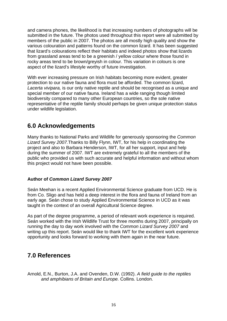and camera phones, the likelihood is that increasing numbers of photographs will be submitted in the future. The photos used throughout this report were all submitted by members of the public in 2007. The photos are all mostly high quality and show the various colouration and patterns found on the common lizard. It has been suggested that lizard's colourations reflect their habitats and indeed photos show that lizards from grassland areas tend to be a greenish / yellow colour where those found in rocky areas tend to be brown/greyish in colour. This variation in colours is one aspect of the lizard's lifestyle worthy of future investigation.

With ever increasing pressure on Irish habitats becoming more evident, greater protection to our native fauna and flora must be afforded. The common lizard, *Lacerta vivipara,* is our only native reptile and should be recognised as a unique and special member of our native fauna. Ireland has a wide ranging though limited biodiversity compared to many other European countries, so the sole native representative of the reptile family should perhaps be given unique protection status under wildlife legislation.

### **6.0 Acknowledgements**

Many thanks to National Parks and Wildlife for generously sponsoring the *Common Lizard Survey 2007.*Thanks to Billy Flynn, IWT, for his help in coordinating the project and also to Barbara Henderson, IWT, for all her support, input and help during the summer of 2007. IWT are extremely grateful to all the members of the public who provided us with such accurate and helpful information and without whom this project would not have been possible.

#### **Author of** *Common Lizard Survey 2007*

Seán Meehan is a recent Applied Environmental Science graduate from UCD. He is from Co. Sligo and has held a deep interest in the flora and fauna of Ireland from an early age. Seán chose to study Applied Environmental Science in UCD as it was taught in the context of an overall Agricultural Science degree.

As part of the degree programme, a period of relevant work experience is required. Seán worked with the Irish Wildlife Trust for three months during 2007, principally on running the day to day work involved with the *Common Lizard Survey 2007* and writing up this report. Seán would like to thank IWT for the excellent work experience opportunity and looks forward to working with them again in the near future.

### **7.0 References**

Arnold, E.N., Burton, J.A. and Ovenden, D.W. (1992). *A field guide to the reptiles and amphibians of Britain and Europe.* Collins. London.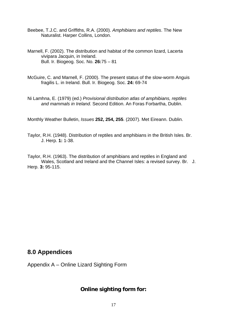- Beebee, T.J.C. and Griffiths, R.A. (2000). *Amphibians and reptiles*. The New Naturalist. Harper Collins, London.
- Marnell, F. (2002). The distribution and habitat of the common lizard, Lacerta vivipara Jacquin, in Ireland. Bull. Ir. Biogeog. Soc. No. **26:**75 – 81
- McGuire, C. and Marnell, F. (2000). The present status of the slow-worm Anguis fragilis L. in Ireland. Bull. Ir. Biogeog. Soc. **24:** 69-74
- Ni Lamhna, E. (1979) (ed.) *Provisional distribution atlas of amphibians, reptiles and mammals in Ireland*. Second Edition. An Foras Forbartha, Dublin.

Monthly Weather Bulletin, *Issues* **252, 254, 255**. (2007). Met Eireann. Dublin.

Taylor, R.H. (1948). Distribution of reptiles and amphibians in the British Isles. Br. J. Herp. **1:** 1-38.

Taylor, R.H. (1963). The distribution of amphibians and reptiles in England and Wales, Scotland and Ireland and the Channel Isles: a revised survey. Br. J. Herp. **3:** 95-115.

### **8.0 Appendices**

Appendix A – Online Lizard Sighting Form

#### **Online sighting form for:**